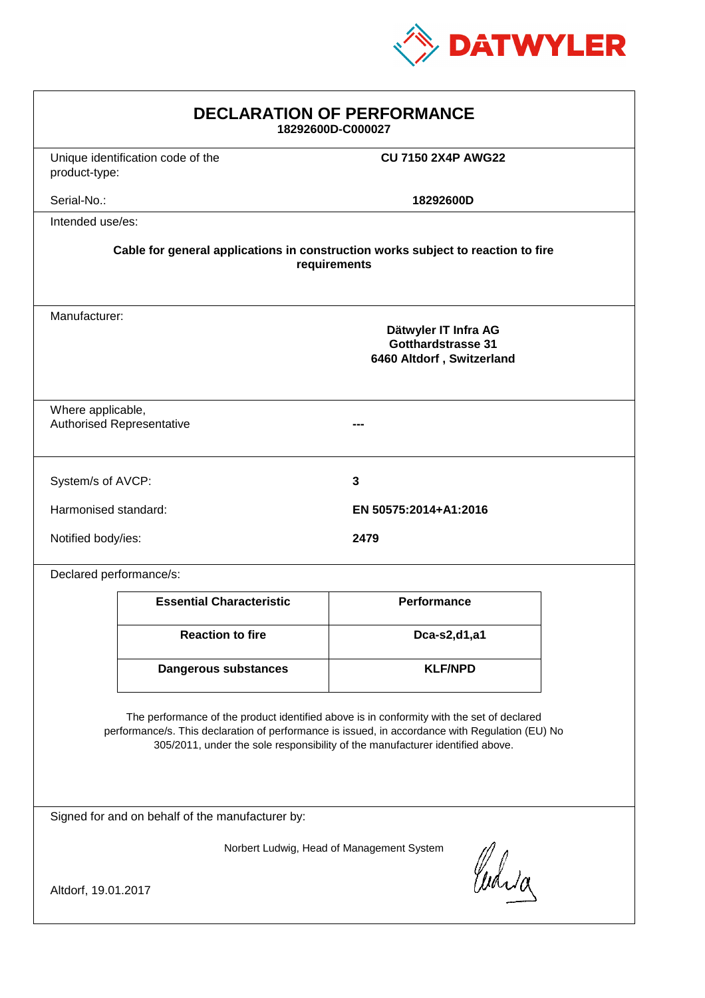

| <b>DECLARATION OF PERFORMANCE</b><br>18292600D-C000027                                                                                                                                                                                                                        |                                                                                                 |                           |  |
|-------------------------------------------------------------------------------------------------------------------------------------------------------------------------------------------------------------------------------------------------------------------------------|-------------------------------------------------------------------------------------------------|---------------------------|--|
| product-type:                                                                                                                                                                                                                                                                 | Unique identification code of the                                                               | <b>CU 7150 2X4P AWG22</b> |  |
| Serial-No.:                                                                                                                                                                                                                                                                   |                                                                                                 | 18292600D                 |  |
| Intended use/es:                                                                                                                                                                                                                                                              |                                                                                                 |                           |  |
| Cable for general applications in construction works subject to reaction to fire<br>requirements                                                                                                                                                                              |                                                                                                 |                           |  |
|                                                                                                                                                                                                                                                                               | Manufacturer:<br>Dätwyler IT Infra AG<br><b>Gotthardstrasse 31</b><br>6460 Altdorf, Switzerland |                           |  |
| Where applicable,                                                                                                                                                                                                                                                             | <b>Authorised Representative</b>                                                                |                           |  |
| System/s of AVCP:                                                                                                                                                                                                                                                             |                                                                                                 | 3                         |  |
| Harmonised standard:                                                                                                                                                                                                                                                          |                                                                                                 | EN 50575:2014+A1:2016     |  |
| Notified body/ies:<br>2479                                                                                                                                                                                                                                                    |                                                                                                 |                           |  |
| Declared performance/s:                                                                                                                                                                                                                                                       |                                                                                                 |                           |  |
|                                                                                                                                                                                                                                                                               | <b>Essential Characteristic</b>                                                                 | <b>Performance</b>        |  |
|                                                                                                                                                                                                                                                                               | <b>Reaction to fire</b>                                                                         | Dca-s2,d1,a1              |  |
|                                                                                                                                                                                                                                                                               | Dangerous substances                                                                            | <b>KLF/NPD</b>            |  |
| The performance of the product identified above is in conformity with the set of declared<br>performance/s. This declaration of performance is issued, in accordance with Regulation (EU) No<br>305/2011, under the sole responsibility of the manufacturer identified above. |                                                                                                 |                           |  |
| Signed for and on behalf of the manufacturer by:                                                                                                                                                                                                                              |                                                                                                 |                           |  |
| Norbert Ludwig, Head of Management System<br>Curia                                                                                                                                                                                                                            |                                                                                                 |                           |  |
| Altdorf, 19.01.2017                                                                                                                                                                                                                                                           |                                                                                                 |                           |  |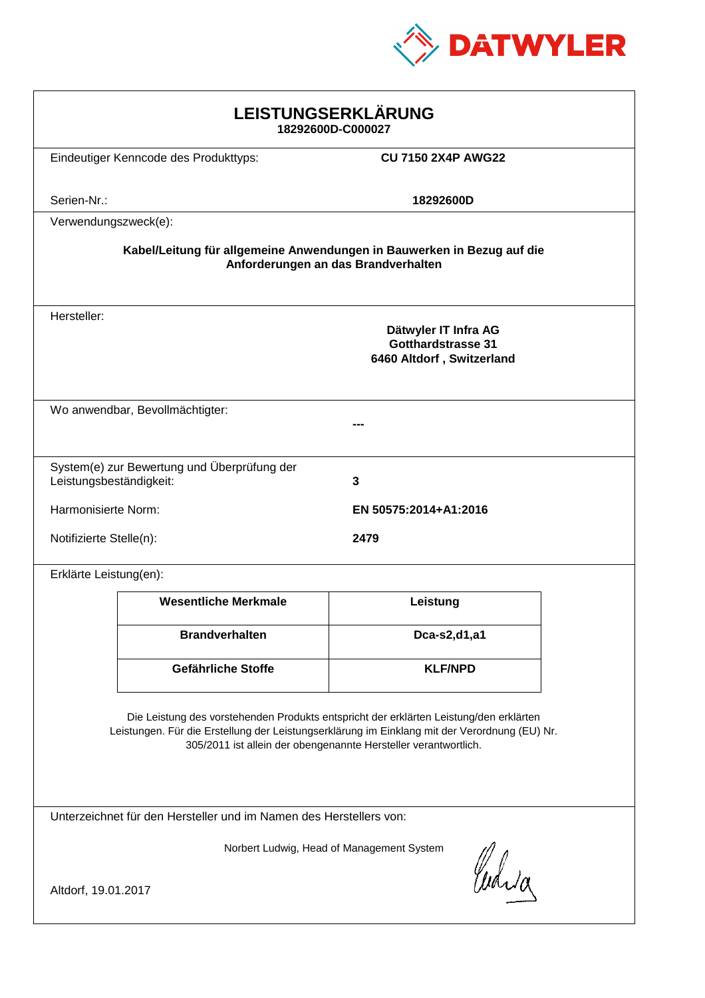

| LEISTUNGSERKLÄRUNG<br>18292600D-C000027                                                                                                                                                                                                                    |                                             |                                                                                |  |
|------------------------------------------------------------------------------------------------------------------------------------------------------------------------------------------------------------------------------------------------------------|---------------------------------------------|--------------------------------------------------------------------------------|--|
|                                                                                                                                                                                                                                                            | Eindeutiger Kenncode des Produkttyps:       | <b>CU 7150 2X4P AWG22</b>                                                      |  |
| Serien-Nr.:                                                                                                                                                                                                                                                |                                             | 18292600D                                                                      |  |
| Verwendungszweck(e):                                                                                                                                                                                                                                       |                                             |                                                                                |  |
| Kabel/Leitung für allgemeine Anwendungen in Bauwerken in Bezug auf die<br>Anforderungen an das Brandverhalten                                                                                                                                              |                                             |                                                                                |  |
| Hersteller:                                                                                                                                                                                                                                                |                                             | Dätwyler IT Infra AG<br><b>Gotthardstrasse 31</b><br>6460 Altdorf, Switzerland |  |
| Wo anwendbar, Bevollmächtigter:                                                                                                                                                                                                                            |                                             |                                                                                |  |
|                                                                                                                                                                                                                                                            |                                             |                                                                                |  |
| Leistungsbeständigkeit:                                                                                                                                                                                                                                    | System(e) zur Bewertung und Überprüfung der | 3                                                                              |  |
| Harmonisierte Norm:                                                                                                                                                                                                                                        |                                             | EN 50575:2014+A1:2016                                                          |  |
|                                                                                                                                                                                                                                                            | Notifizierte Stelle(n):<br>2479             |                                                                                |  |
| Erklärte Leistung(en):                                                                                                                                                                                                                                     |                                             |                                                                                |  |
|                                                                                                                                                                                                                                                            | <b>Wesentliche Merkmale</b>                 | Leistung                                                                       |  |
|                                                                                                                                                                                                                                                            | <b>Brandverhalten</b>                       | Dca-s2,d1,a1                                                                   |  |
|                                                                                                                                                                                                                                                            | Gefährliche Stoffe                          | <b>KLF/NPD</b>                                                                 |  |
| Die Leistung des vorstehenden Produkts entspricht der erklärten Leistung/den erklärten<br>Leistungen. Für die Erstellung der Leistungserklärung im Einklang mit der Verordnung (EU) Nr.<br>305/2011 ist allein der obengenannte Hersteller verantwortlich. |                                             |                                                                                |  |
| Unterzeichnet für den Hersteller und im Namen des Herstellers von:                                                                                                                                                                                         |                                             |                                                                                |  |
| Norbert Ludwig, Head of Management System<br>Which<br>Altdorf, 19.01.2017                                                                                                                                                                                  |                                             |                                                                                |  |
|                                                                                                                                                                                                                                                            |                                             |                                                                                |  |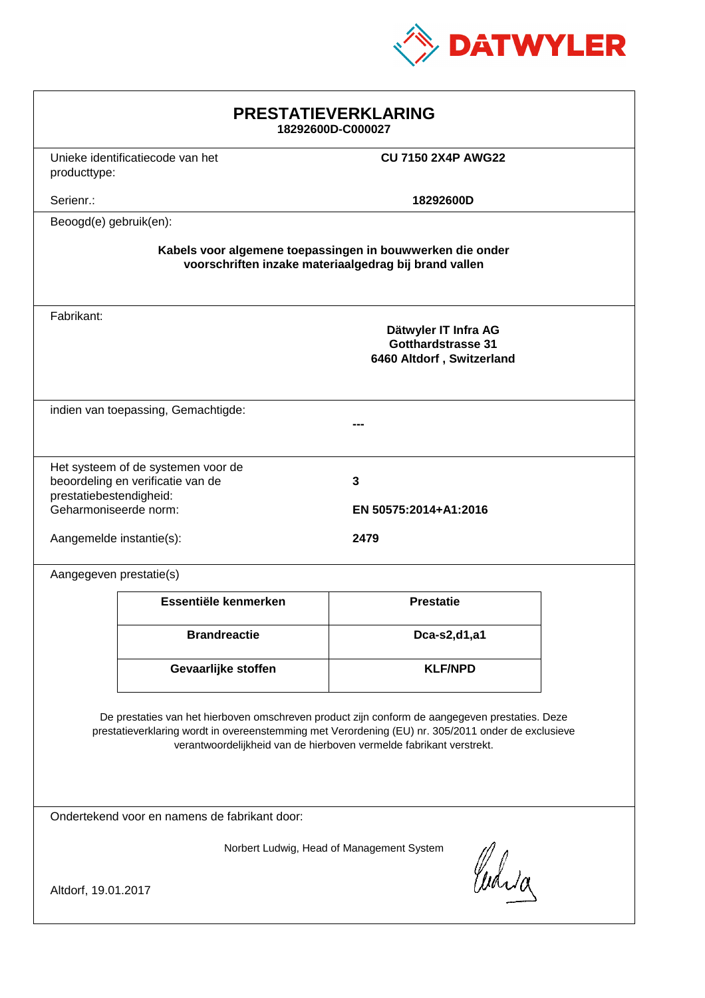

| <b>PRESTATIEVERKLARING</b><br>18292600D-C000027                                                                                                                                                                                                                             |  |  |  |
|-----------------------------------------------------------------------------------------------------------------------------------------------------------------------------------------------------------------------------------------------------------------------------|--|--|--|
| <b>CU 7150 2X4P AWG22</b>                                                                                                                                                                                                                                                   |  |  |  |
| 18292600D                                                                                                                                                                                                                                                                   |  |  |  |
|                                                                                                                                                                                                                                                                             |  |  |  |
| Kabels voor algemene toepassingen in bouwwerken die onder<br>voorschriften inzake materiaalgedrag bij brand vallen                                                                                                                                                          |  |  |  |
| Dätwyler IT Infra AG<br><b>Gotthardstrasse 31</b><br>6460 Altdorf, Switzerland                                                                                                                                                                                              |  |  |  |
| indien van toepassing, Gemachtigde:                                                                                                                                                                                                                                         |  |  |  |
| 3<br>EN 50575:2014+A1:2016<br>2479                                                                                                                                                                                                                                          |  |  |  |
|                                                                                                                                                                                                                                                                             |  |  |  |
| Essentiële kenmerken<br><b>Prestatie</b>                                                                                                                                                                                                                                    |  |  |  |
| Dca-s2,d1,a1                                                                                                                                                                                                                                                                |  |  |  |
| <b>KLF/NPD</b>                                                                                                                                                                                                                                                              |  |  |  |
| De prestaties van het hierboven omschreven product zijn conform de aangegeven prestaties. Deze<br>prestatieverklaring wordt in overeenstemming met Verordening (EU) nr. 305/2011 onder de exclusieve<br>verantwoordelijkheid van de hierboven vermelde fabrikant verstrekt. |  |  |  |
| Ondertekend voor en namens de fabrikant door:                                                                                                                                                                                                                               |  |  |  |
| Norbert Ludwig, Head of Management System<br>Curia<br>Altdorf, 19.01.2017                                                                                                                                                                                                   |  |  |  |
|                                                                                                                                                                                                                                                                             |  |  |  |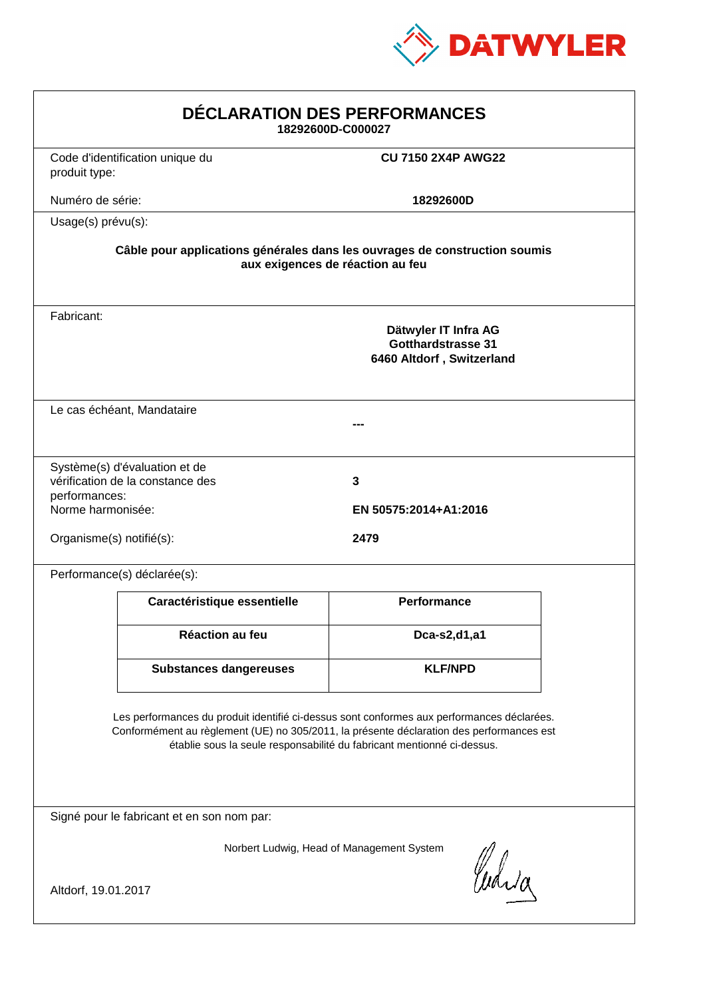

| <b>DÉCLARATION DES PERFORMANCES</b><br>18292600D-C000027                                                                                                                                                                                                         |                                  |                                                                         |  |
|------------------------------------------------------------------------------------------------------------------------------------------------------------------------------------------------------------------------------------------------------------------|----------------------------------|-------------------------------------------------------------------------|--|
| produit type:                                                                                                                                                                                                                                                    | Code d'identification unique du  | <b>CU 7150 2X4P AWG22</b>                                               |  |
| Numéro de série:                                                                                                                                                                                                                                                 |                                  | 18292600D                                                               |  |
| Usage(s) prévu(s):                                                                                                                                                                                                                                               |                                  |                                                                         |  |
| Câble pour applications générales dans les ouvrages de construction soumis<br>aux exigences de réaction au feu                                                                                                                                                   |                                  |                                                                         |  |
| Fabricant:                                                                                                                                                                                                                                                       |                                  | Dätwyler IT Infra AG<br>Gotthardstrasse 31<br>6460 Altdorf, Switzerland |  |
|                                                                                                                                                                                                                                                                  | Le cas échéant, Mandataire       |                                                                         |  |
| Système(s) d'évaluation et de<br>vérification de la constance des<br>3<br>performances:<br>Norme harmonisée:<br>EN 50575:2014+A1:2016                                                                                                                            |                                  |                                                                         |  |
|                                                                                                                                                                                                                                                                  | Organisme(s) notifié(s):<br>2479 |                                                                         |  |
|                                                                                                                                                                                                                                                                  | Performance(s) déclarée(s):      |                                                                         |  |
|                                                                                                                                                                                                                                                                  | Caractéristique essentielle      | <b>Performance</b>                                                      |  |
|                                                                                                                                                                                                                                                                  | Réaction au feu                  | Dca-s2,d1,a1                                                            |  |
|                                                                                                                                                                                                                                                                  | <b>Substances dangereuses</b>    | <b>KLF/NPD</b>                                                          |  |
| Les performances du produit identifié ci-dessus sont conformes aux performances déclarées.<br>Conformément au règlement (UE) no 305/2011, la présente déclaration des performances est<br>établie sous la seule responsabilité du fabricant mentionné ci-dessus. |                                  |                                                                         |  |
| Signé pour le fabricant et en son nom par:                                                                                                                                                                                                                       |                                  |                                                                         |  |
| Norbert Ludwig, Head of Management System<br>Waia                                                                                                                                                                                                                |                                  |                                                                         |  |
| Altdorf, 19.01.2017                                                                                                                                                                                                                                              |                                  |                                                                         |  |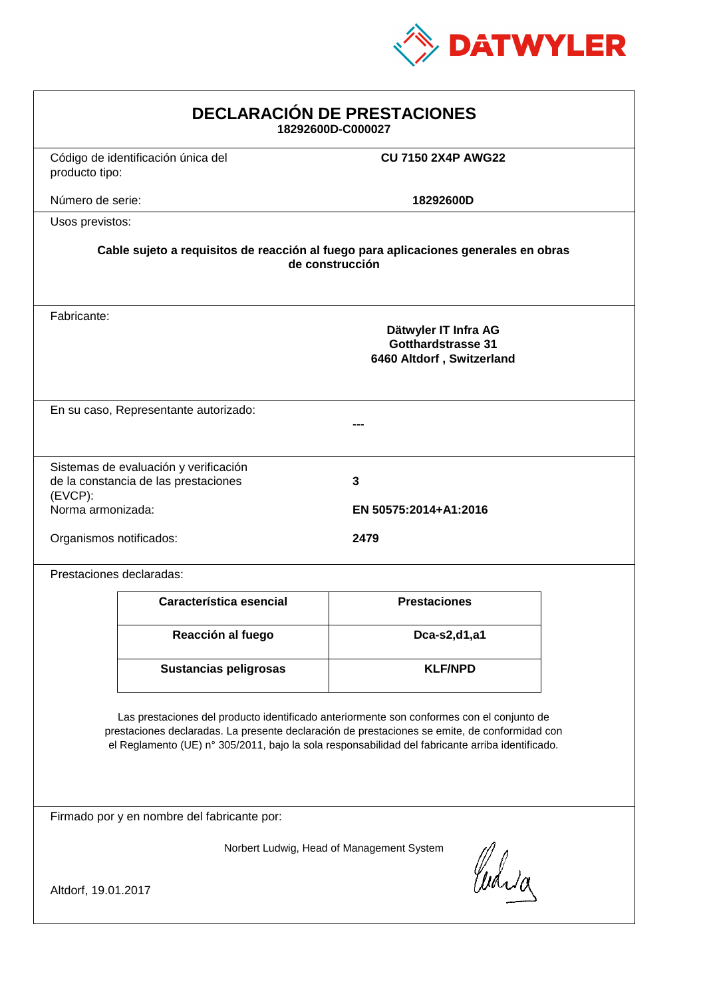

| <b>DECLARACIÓN DE PRESTACIONES</b><br>18292600D-C000027                                                                                                                                                                                                                                        |                                                                                |                            |  |
|------------------------------------------------------------------------------------------------------------------------------------------------------------------------------------------------------------------------------------------------------------------------------------------------|--------------------------------------------------------------------------------|----------------------------|--|
| producto tipo:                                                                                                                                                                                                                                                                                 | Código de identificación única del                                             | <b>CU 7150 2X4P AWG22</b>  |  |
| Número de serie:                                                                                                                                                                                                                                                                               |                                                                                | 18292600D                  |  |
| Usos previstos:                                                                                                                                                                                                                                                                                |                                                                                |                            |  |
| Cable sujeto a requisitos de reacción al fuego para aplicaciones generales en obras<br>de construcción                                                                                                                                                                                         |                                                                                |                            |  |
| Fabricante:                                                                                                                                                                                                                                                                                    | Dätwyler IT Infra AG<br><b>Gotthardstrasse 31</b><br>6460 Altdorf, Switzerland |                            |  |
| En su caso, Representante autorizado:                                                                                                                                                                                                                                                          |                                                                                |                            |  |
| $(EVCP)$ :<br>Norma armonizada:                                                                                                                                                                                                                                                                | Sistemas de evaluación y verificación<br>de la constancia de las prestaciones  | 3<br>EN 50575:2014+A1:2016 |  |
| Organismos notificados:<br>2479                                                                                                                                                                                                                                                                |                                                                                |                            |  |
|                                                                                                                                                                                                                                                                                                | Prestaciones declaradas:                                                       |                            |  |
|                                                                                                                                                                                                                                                                                                | Característica esencial                                                        | <b>Prestaciones</b>        |  |
|                                                                                                                                                                                                                                                                                                | Reacción al fuego                                                              | Dca-s2,d1,a1               |  |
|                                                                                                                                                                                                                                                                                                | <b>Sustancias peligrosas</b>                                                   | <b>KLF/NPD</b>             |  |
| Las prestaciones del producto identificado anteriormente son conformes con el conjunto de<br>prestaciones declaradas. La presente declaración de prestaciones se emite, de conformidad con<br>el Reglamento (UE) nº 305/2011, bajo la sola responsabilidad del fabricante arriba identificado. |                                                                                |                            |  |
| Firmado por y en nombre del fabricante por:                                                                                                                                                                                                                                                    |                                                                                |                            |  |
| Norbert Ludwig, Head of Management System<br>Curia                                                                                                                                                                                                                                             |                                                                                |                            |  |
| Altdorf, 19.01.2017                                                                                                                                                                                                                                                                            |                                                                                |                            |  |